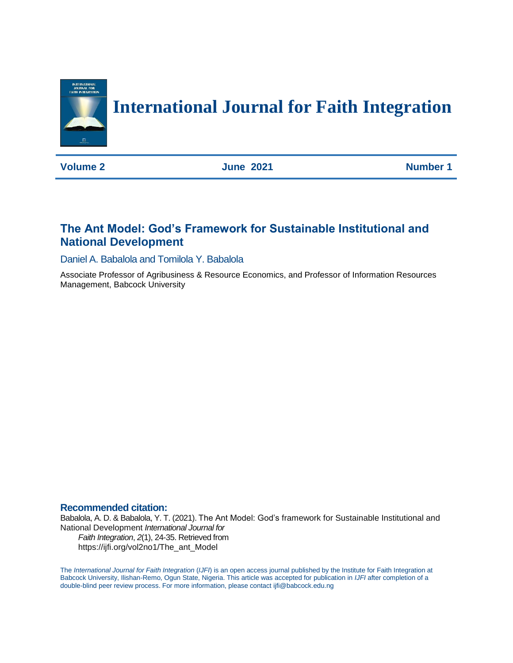

# **International Journal for Faith Integration**

**Volume 2 June 2021 Number 1** 

# **The Ant Model: God's Framework for Sustainable Institutional and National Development**

Daniel A. Babalola and Tomilola Y. Babalola

Associate Professor of Agribusiness & Resource Economics, and Professor of Information Resources Management, Babcock University

### **Recommended citation:**

Babalola, A. D. & Babalola, Y. T. (2021). The Ant Model: God's framework for Sustainable Institutional and National Development *International Journal for Faith Integration*, *2*(1), 24-35. Retrieved from https://ijfi.org/vol2no1/The\_ant\_Model

The *International Journal for Faith Integration* (*IJFI*) is an open access journal published by the Institute for Faith Integration at Babcock University, Ilishan-Remo, Ogun State, Nigeria. This article was accepted for publication in *IJFI* after completion of a double-blind peer review process. For more information, please contact ijfi@babcock.edu.ng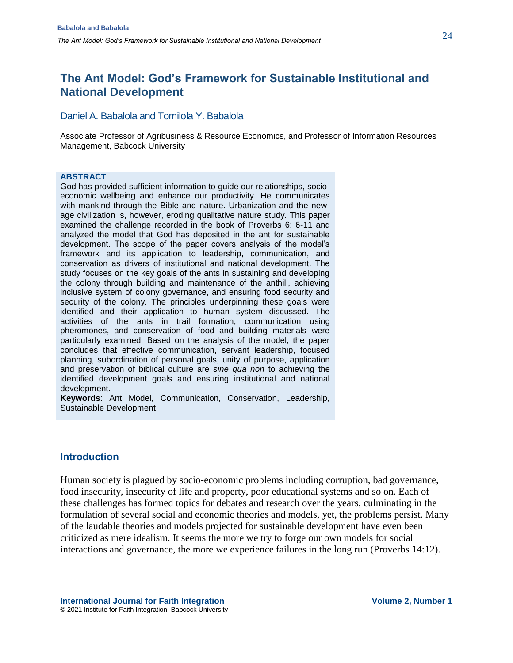### Daniel A. Babalola and Tomilola Y. Babalola

Associate Professor of Agribusiness & Resource Economics, and Professor of Information Resources Management, Babcock University

#### **ABSTRACT**

God has provided sufficient information to guide our relationships, socioeconomic wellbeing and enhance our productivity. He communicates with mankind through the Bible and nature. Urbanization and the newage civilization is, however, eroding qualitative nature study. This paper examined the challenge recorded in the book of Proverbs 6: 6-11 and analyzed the model that God has deposited in the ant for sustainable development. The scope of the paper covers analysis of the model's framework and its application to leadership, communication, and conservation as drivers of institutional and national development. The study focuses on the key goals of the ants in sustaining and developing the colony through building and maintenance of the anthill, achieving inclusive system of colony governance, and ensuring food security and security of the colony. The principles underpinning these goals were identified and their application to human system discussed. The activities of the ants in trail formation, communication using pheromones, and conservation of food and building materials were particularly examined. Based on the analysis of the model, the paper concludes that effective communication, servant leadership, focused planning, subordination of personal goals, unity of purpose, application and preservation of biblical culture are *sine qua non* to achieving the identified development goals and ensuring institutional and national development.

**Keywords**: Ant Model, Communication, Conservation, Leadership, Sustainable Development

### **Introduction**

Human society is plagued by socio-economic problems including corruption, bad governance, food insecurity, insecurity of life and property, poor educational systems and so on. Each of these challenges has formed topics for debates and research over the years, culminating in the formulation of several social and economic theories and models, yet, the problems persist. Many of the laudable theories and models projected for sustainable development have even been criticized as mere idealism. It seems the more we try to forge our own models for social interactions and governance, the more we experience failures in the long run (Proverbs 14:12).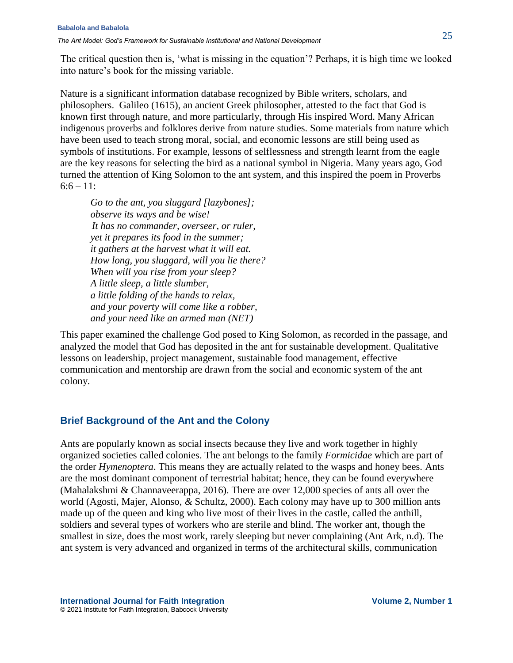The critical question then is, 'what is missing in the equation'? Perhaps, it is high time we looked into nature's book for the missing variable.

Nature is a significant information database recognized by Bible writers, scholars, and philosophers. Galileo (1615), an ancient Greek philosopher, attested to the fact that God is known first through nature, and more particularly, through His inspired Word. Many African indigenous proverbs and folklores derive from nature studies. Some materials from nature which have been used to teach strong moral, social, and economic lessons are still being used as symbols of institutions. For example, lessons of selflessness and strength learnt from the eagle are the key reasons for selecting the bird as a national symbol in Nigeria. Many years ago, God turned the attention of King Solomon to the ant system, and this inspired the poem in Proverbs  $6:6 - 11$ :

*Go to the ant, you sluggard [lazybones]; observe its ways and be wise! It has no commander, overseer, or ruler, yet it prepares its food in the summer; it gathers at the harvest what it will eat. How long, you sluggard, will you lie there? When will you rise from your sleep? A little sleep, a little slumber, a little folding of the hands to relax, and your poverty will come like a robber, and your need like an armed man (NET)*

This paper examined the challenge God posed to King Solomon, as recorded in the passage, and analyzed the model that God has deposited in the ant for sustainable development. Qualitative lessons on leadership, project management, sustainable food management, effective communication and mentorship are drawn from the social and economic system of the ant colony.

### **Brief Background of the Ant and the Colony**

Ants are popularly known as social insects because they live and work together in highly organized societies called colonies. The ant belongs to the family *Formicidae* which are part of the order *Hymenoptera*. This means they are actually related to the wasps and honey bees. Ants are the most dominant component of terrestrial habitat; hence, they can be found everywhere (Mahalakshmi & Channaveerappa, 2016). There are over 12,000 species of ants all over the world (Agosti, Majer, Alonso, *&* Schultz, 2000). Each colony may have up to 300 million ants made up of the queen and king who live most of their lives in the castle, called the anthill, soldiers and several types of workers who are sterile and blind. The worker ant, though the smallest in size, does the most work, rarely sleeping but never complaining (Ant Ark, n.d). The ant system is very advanced and organized in terms of the architectural skills, communication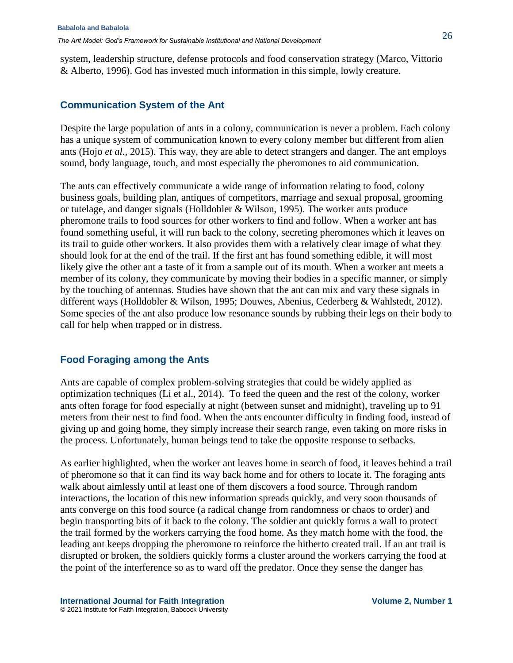system, leadership structure, defense protocols and food conservation strategy (Marco, Vittorio & Alberto, 1996). God has invested much information in this simple, lowly creature.

# **Communication System of the Ant**

Despite the large population of ants in a colony, communication is never a problem. Each colony has a unique system of communication known to every colony member but different from alien ants (Hojo *et al.,* 2015). This way, they are able to detect strangers and danger. The ant employs sound, body language, touch, and most especially the pheromones to aid communication.

The ants can effectively communicate a wide range of information relating to food, colony business goals, building plan, antiques of competitors, marriage and sexual proposal, grooming or tutelage, and danger signals (Holldobler & Wilson, 1995). The worker ants produce pheromone trails to food sources for other workers to find and follow. When a worker ant has found something useful, it will run back to the colony, secreting pheromones which it leaves on its trail to guide other workers. It also provides them with a relatively clear image of what they should look for at the end of the trail. If the first ant has found something edible, it will most likely give the other ant a taste of it from a sample out of its mouth. When a worker ant meets a member of its colony, they communicate by moving their bodies in a specific manner, or simply by the touching of antennas. Studies have shown that the ant can mix and vary these signals in different ways (Holldobler & Wilson, 1995; Douwes, Abenius, Cederberg & Wahlstedt, 2012). Some species of the ant also produce low resonance sounds by rubbing their legs on their body to call for help when trapped or in distress.

# **Food Foraging among the Ants**

Ants are capable of complex problem-solving strategies that could be widely applied as optimization techniques (Li et al., 2014). To feed the queen and the rest of the colony, worker ants often forage for food especially at night (between sunset and midnight), traveling up to 91 meters from their nest to find food. When the ants encounter difficulty in finding food, instead of giving up and going home, they simply increase their search range, even taking on more risks in the process. Unfortunately, human beings tend to take the opposite response to setbacks.

As earlier highlighted, when the worker ant leaves home in search of food, it leaves behind a trail of pheromone so that it can find its way back home and for others to locate it. The foraging ants walk about aimlessly until at least one of them discovers a food source. Through random interactions, the location of this new information spreads quickly, and very soon thousands of ants converge on this food source (a radical change from randomness or chaos to order) and begin transporting bits of it back to the colony. The soldier ant quickly forms a wall to protect the trail formed by the workers carrying the food home. As they match home with the food, the leading ant keeps dropping the pheromone to reinforce the hitherto created trail. If an ant trail is disrupted or broken, the soldiers quickly forms a cluster around the workers carrying the food at the point of the interference so as to ward off the predator. Once they sense the danger has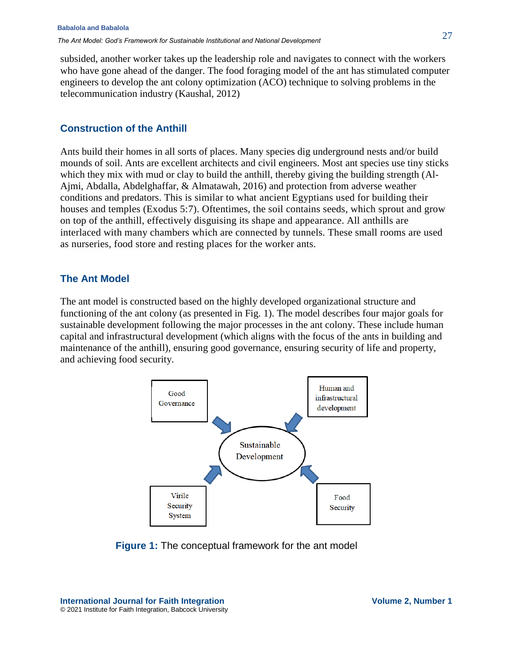subsided, another worker takes up the leadership role and navigates to connect with the workers who have gone ahead of the danger. The food foraging model of the ant has stimulated computer engineers to develop the ant colony optimization (ACO) technique to solving problems in the telecommunication industry (Kaushal, 2012)

# **Construction of the Anthill**

Ants build their homes in all sorts of places. Many species dig underground nests and/or build mounds of soil. Ants are excellent architects and civil engineers. Most ant species use tiny sticks which they mix with mud or clay to build the anthill, thereby giving the building strength (Al-Ajmi, Abdalla, Abdelghaffar, & Almatawah, 2016) and protection from adverse weather conditions and predators. This is similar to what ancient Egyptians used for building their houses and temples (Exodus 5:7). Oftentimes, the soil contains seeds, which sprout and grow on top of the anthill, effectively disguising its shape and appearance. All anthills are interlaced with many chambers which are connected by tunnels. These small rooms are used as nurseries, food store and resting places for the worker ants.

# **The Ant Model**

The ant model is constructed based on the highly developed organizational structure and functioning of the ant colony (as presented in Fig. 1). The model describes four major goals for sustainable development following the major processes in the ant colony. These include human capital and infrastructural development (which aligns with the focus of the ants in building and maintenance of the anthill), ensuring good governance, ensuring security of life and property, and achieving food security.



**Figure 1:** The conceptual framework for the ant model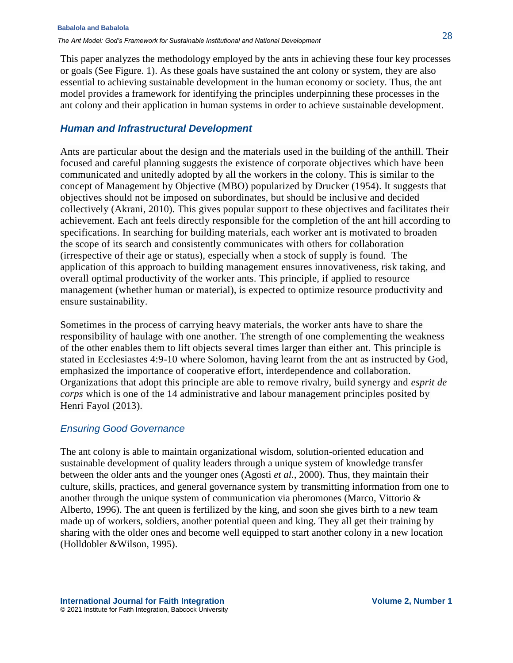This paper analyzes the methodology employed by the ants in achieving these four key processes or goals (See Figure. 1). As these goals have sustained the ant colony or system, they are also essential to achieving sustainable development in the human economy or society. Thus, the ant model provides a framework for identifying the principles underpinning these processes in the ant colony and their application in human systems in order to achieve sustainable development.

# *Human and Infrastructural Development*

Ants are particular about the design and the materials used in the building of the anthill. Their focused and careful planning suggests the existence of corporate objectives which have been communicated and unitedly adopted by all the workers in the colony. This is similar to the concept of Management by Objective (MBO) popularized by Drucker (1954). It suggests that objectives should not be imposed on subordinates, but should be inclusive and decided collectively (Akrani, 2010). This gives popular support to these objectives and facilitates their achievement. Each ant feels directly responsible for the completion of the ant hill according to specifications. In searching for building materials, each worker ant is motivated to broaden the scope of its search and consistently communicates with others for collaboration (irrespective of their age or status), especially when a stock of supply is found. The application of this approach to building management ensures innovativeness, risk taking, and overall optimal productivity of the worker ants. This principle, if applied to resource management (whether human or material), is expected to optimize resource productivity and ensure sustainability.

Sometimes in the process of carrying heavy materials, the worker ants have to share the responsibility of haulage with one another. The strength of one complementing the weakness of the other enables them to lift objects several times larger than either ant. This principle is stated in Ecclesiastes 4:9-10 where Solomon, having learnt from the ant as instructed by God, emphasized the importance of cooperative effort, interdependence and collaboration. Organizations that adopt this principle are able to remove rivalry, build synergy and *esprit de corps* which is one of the 14 administrative and labour management principles posited by Henri Fayol (2013).

## *Ensuring Good Governance*

The ant colony is able to maintain organizational wisdom, solution-oriented education and sustainable development of quality leaders through a unique system of knowledge transfer between the older ants and the younger ones (Agosti *et al.,* 2000). Thus, they maintain their culture, skills, practices, and general governance system by transmitting information from one to another through the unique system of communication via pheromones (Marco, Vittorio & Alberto, 1996). The ant queen is fertilized by the king, and soon she gives birth to a new team made up of workers, soldiers, another potential queen and king. They all get their training by sharing with the older ones and become well equipped to start another colony in a new location (Holldobler &Wilson, 1995).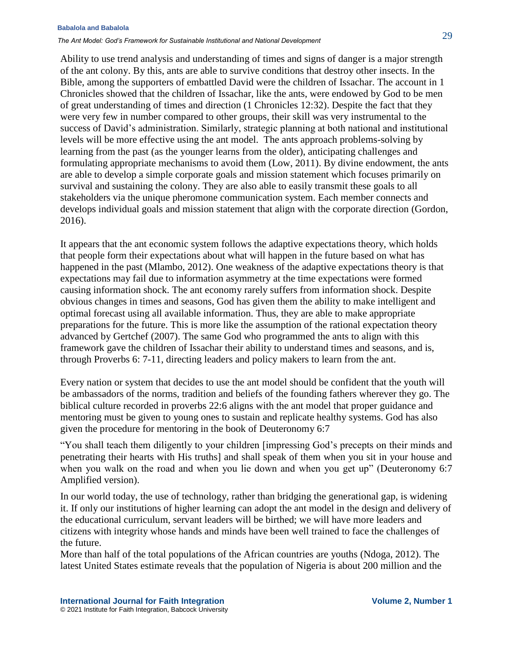#### **Babalola and Babalola**

*The Ant Model: God's Framework for Sustainable Institutional and National Development*

Ability to use trend analysis and understanding of times and signs of danger is a major strength of the ant colony. By this, ants are able to survive conditions that destroy other insects. In the Bible, among the supporters of embattled David were the children of Issachar. The account in 1 Chronicles showed that the children of Issachar, like the ants, were endowed by God to be men of great understanding of times and direction (1 Chronicles 12:32). Despite the fact that they were very few in number compared to other groups, their skill was very instrumental to the success of David's administration. Similarly, strategic planning at both national and institutional levels will be more effective using the ant model. The ants approach problems-solving by learning from the past (as the younger learns from the older), anticipating challenges and formulating appropriate mechanisms to avoid them (Low, 2011). By divine endowment, the ants are able to develop a simple corporate goals and mission statement which focuses primarily on survival and sustaining the colony. They are also able to easily transmit these goals to all stakeholders via the unique pheromone communication system. Each member connects and develops individual goals and mission statement that align with the corporate direction (Gordon, 2016).

It appears that the ant economic system follows the adaptive expectations theory, which holds that people form their expectations about what will happen in the future based on what has happened in the past (Mlambo, 2012). One weakness of the adaptive expectations theory is that expectations may fail due to information asymmetry at the time expectations were formed causing information shock. The ant economy rarely suffers from information shock. Despite obvious changes in times and seasons, God has given them the ability to make intelligent and optimal forecast using all available information. Thus, they are able to make appropriate preparations for the future. This is more like the assumption of the rational expectation theory advanced by Gertchef (2007). The same God who programmed the ants to align with this framework gave the children of Issachar their ability to understand times and seasons, and is, through Proverbs 6: 7-11, directing leaders and policy makers to learn from the ant.

Every nation or system that decides to use the ant model should be confident that the youth will be ambassadors of the norms, tradition and beliefs of the founding fathers wherever they go. The biblical culture recorded in proverbs 22:6 aligns with the ant model that proper guidance and mentoring must be given to young ones to sustain and replicate healthy systems. God has also given the procedure for mentoring in the book of Deuteronomy 6:7

"You shall teach them diligently to your children [impressing God's precepts on their minds and penetrating their hearts with His truths] and shall speak of them when you sit in your house and when you walk on the road and when you lie down and when you get up" (Deuteronomy 6:7 Amplified version).

In our world today, the use of technology, rather than bridging the generational gap, is widening it. If only our institutions of higher learning can adopt the ant model in the design and delivery of the educational curriculum, servant leaders will be birthed; we will have more leaders and citizens with integrity whose hands and minds have been well trained to face the challenges of the future.

More than half of the total populations of the African countries are youths (Ndoga, 2012). The latest United States estimate reveals that the population of Nigeria is about 200 million and the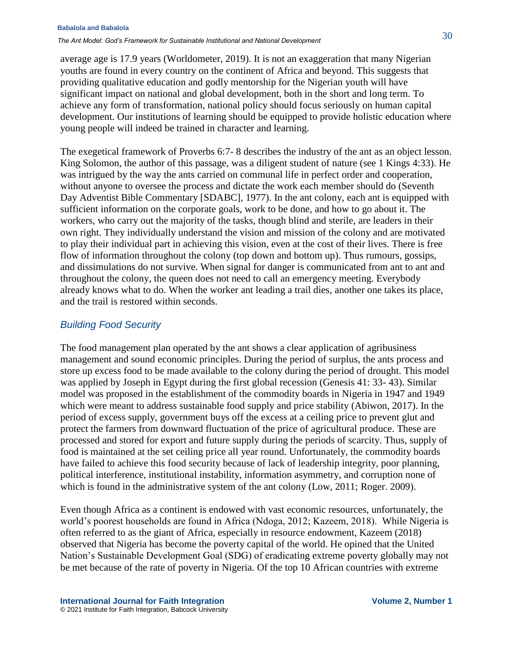#### **Babalola and Babalola**

*The Ant Model: God's Framework for Sustainable Institutional and National Development*

average age is 17.9 years (Worldometer, 2019). It is not an exaggeration that many Nigerian youths are found in every country on the continent of Africa and beyond. This suggests that providing qualitative education and godly mentorship for the Nigerian youth will have significant impact on national and global development, both in the short and long term. To achieve any form of transformation, national policy should focus seriously on human capital development. Our institutions of learning should be equipped to provide holistic education where young people will indeed be trained in character and learning.

The exegetical framework of Proverbs 6:7- 8 describes the industry of the ant as an object lesson. King Solomon, the author of this passage, was a diligent student of nature (see 1 Kings 4:33). He was intrigued by the way the ants carried on communal life in perfect order and cooperation, without anyone to oversee the process and dictate the work each member should do (Seventh Day Adventist Bible Commentary [SDABC], 1977). In the ant colony, each ant is equipped with sufficient information on the corporate goals, work to be done, and how to go about it. The workers, who carry out the majority of the tasks, though blind and sterile, are leaders in their own right. They individually understand the vision and mission of the colony and are motivated to play their individual part in achieving this vision, even at the cost of their lives. There is free flow of information throughout the colony (top down and bottom up). Thus rumours, gossips, and dissimulations do not survive. When signal for danger is communicated from ant to ant and throughout the colony, the queen does not need to call an emergency meeting. Everybody already knows what to do. When the worker ant leading a trail dies, another one takes its place, and the trail is restored within seconds.

#### *Building Food Security*

The food management plan operated by the ant shows a clear application of agribusiness management and sound economic principles. During the period of surplus, the ants process and store up excess food to be made available to the colony during the period of drought. This model was applied by Joseph in Egypt during the first global recession (Genesis 41: 33- 43). Similar model was proposed in the establishment of the commodity boards in Nigeria in 1947 and 1949 which were meant to address sustainable food supply and price stability (Abiwon, 2017). In the period of excess supply, government buys off the excess at a ceiling price to prevent glut and protect the farmers from downward fluctuation of the price of agricultural produce. These are processed and stored for export and future supply during the periods of scarcity. Thus, supply of food is maintained at the set ceiling price all year round. Unfortunately, the commodity boards have failed to achieve this food security because of lack of leadership integrity, poor planning, political interference, institutional instability, information asymmetry, and corruption none of which is found in the administrative system of the ant colony (Low, 2011; Roger. 2009).

Even though Africa as a continent is endowed with vast economic resources, unfortunately, the world's poorest households are found in Africa (Ndoga, 2012; Kazeem, 2018). While Nigeria is often referred to as the giant of Africa, especially in resource endowment, Kazeem (2018) observed that Nigeria has become the poverty capital of the world. He opined that the United Nation's Sustainable Development Goal (SDG) of eradicating extreme poverty globally may not be met because of the rate of poverty in Nigeria. Of the top 10 African countries with extreme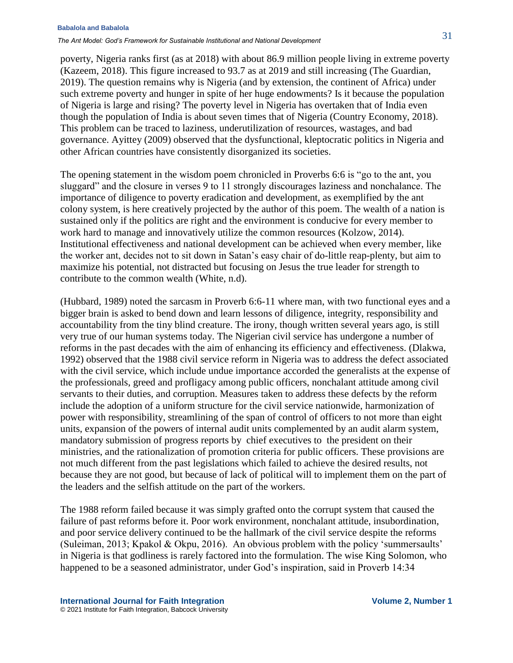#### **Babalola and Babalola**

*The Ant Model: God's Framework for Sustainable Institutional and National Development*

poverty, Nigeria ranks first (as at 2018) with about 86.9 million people living in extreme poverty (Kazeem, 2018). This figure increased to 93.7 as at 2019 and still increasing (The Guardian, 2019). The question remains why is Nigeria (and by extension, the continent of Africa) under such extreme poverty and hunger in spite of her huge endowments? Is it because the population of Nigeria is large and rising? The poverty level in Nigeria has overtaken that of India even though the population of India is about seven times that of Nigeria (Country Economy, 2018). This problem can be traced to laziness, underutilization of resources, wastages, and bad governance. Ayittey (2009) observed that the dysfunctional, kleptocratic politics in Nigeria and other African countries have consistently disorganized its societies.

The opening statement in the wisdom poem chronicled in Proverbs 6:6 is "go to the ant, you sluggard" and the closure in verses 9 to 11 strongly discourages laziness and nonchalance. The importance of diligence to poverty eradication and development, as exemplified by the ant colony system, is here creatively projected by the author of this poem. The wealth of a nation is sustained only if the politics are right and the environment is conducive for every member to work hard to manage and innovatively utilize the common resources (Kolzow, 2014). Institutional effectiveness and national development can be achieved when every member, like the worker ant, decides not to sit down in Satan's easy chair of do-little reap-plenty, but aim to maximize his potential, not distracted but focusing on Jesus the true leader for strength to contribute to the common wealth (White, n.d).

(Hubbard, 1989) noted the sarcasm in Proverb 6:6-11 where man, with two functional eyes and a bigger brain is asked to bend down and learn lessons of diligence, integrity, responsibility and accountability from the tiny blind creature. The irony, though written several years ago, is still very true of our human systems today. The Nigerian civil service has undergone a number of reforms in the past decades with the aim of enhancing its efficiency and effectiveness. (Dlakwa, 1992) observed that the 1988 civil service reform in Nigeria was to address the defect associated with the civil service, which include undue importance accorded the generalists at the expense of the professionals, greed and profligacy among public officers, nonchalant attitude among civil servants to their duties, and corruption. Measures taken to address these defects by the reform include the adoption of a uniform structure for the civil service nationwide, harmonization of power with responsibility, streamlining of the span of control of officers to not more than eight units, expansion of the powers of internal audit units complemented by an audit alarm system, mandatory submission of progress reports by chief executives to the president on their ministries, and the rationalization of promotion criteria for public officers. These provisions are not much different from the past legislations which failed to achieve the desired results, not because they are not good, but because of lack of political will to implement them on the part of the leaders and the selfish attitude on the part of the workers.

The 1988 reform failed because it was simply grafted onto the corrupt system that caused the failure of past reforms before it. Poor work environment, nonchalant attitude, insubordination, and poor service delivery continued to be the hallmark of the civil service despite the reforms (Suleiman, 2013; Kpakol & Okpu, 2016). An obvious problem with the policy 'summersaults' in Nigeria is that godliness is rarely factored into the formulation. The wise King Solomon, who happened to be a seasoned administrator, under God's inspiration, said in Proverb 14:34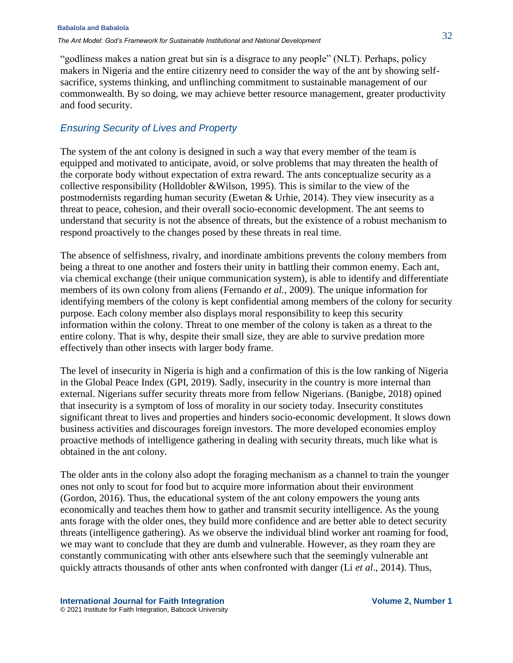"godliness makes a nation great but sin is a disgrace to any people" (NLT). Perhaps, policy makers in Nigeria and the entire citizenry need to consider the way of the ant by showing selfsacrifice, systems thinking, and unflinching commitment to sustainable management of our commonwealth. By so doing, we may achieve better resource management, greater productivity and food security.

### *Ensuring Security of Lives and Property*

The system of the ant colony is designed in such a way that every member of the team is equipped and motivated to anticipate, avoid, or solve problems that may threaten the health of the corporate body without expectation of extra reward. The ants conceptualize security as a collective responsibility (Holldobler &Wilson, 1995). This is similar to the view of the postmodernists regarding human security (Ewetan & Urhie, 2014). They view insecurity as a threat to peace, cohesion, and their overall socio-economic development. The ant seems to understand that security is not the absence of threats, but the existence of a robust mechanism to respond proactively to the changes posed by these threats in real time.

The absence of selfishness, rivalry, and inordinate ambitions prevents the colony members from being a threat to one another and fosters their unity in battling their common enemy. Each ant, via chemical exchange (their unique communication system), is able to identify and differentiate members of its own colony from aliens (Fernando *et al.,* 2009). The unique information for identifying members of the colony is kept confidential among members of the colony for security purpose. Each colony member also displays moral responsibility to keep this security information within the colony. Threat to one member of the colony is taken as a threat to the entire colony. That is why, despite their small size, they are able to survive predation more effectively than other insects with larger body frame.

The level of insecurity in Nigeria is high and a confirmation of this is the low ranking of Nigeria in the Global Peace Index (GPI, 2019). Sadly, insecurity in the country is more internal than external. Nigerians suffer security threats more from fellow Nigerians. (Banigbe, 2018) opined that insecurity is a symptom of loss of morality in our society today. Insecurity constitutes significant threat to lives and properties and hinders socio-economic development. It slows down business activities and discourages foreign investors. The more developed economies employ proactive methods of intelligence gathering in dealing with security threats, much like what is obtained in the ant colony.

The older ants in the colony also adopt the foraging mechanism as a channel to train the younger ones not only to scout for food but to acquire more information about their environment (Gordon, 2016). Thus, the educational system of the ant colony empowers the young ants economically and teaches them how to gather and transmit security intelligence. As the young ants forage with the older ones, they build more confidence and are better able to detect security threats (intelligence gathering). As we observe the individual blind worker ant roaming for food, we may want to conclude that they are dumb and vulnerable. However, as they roam they are constantly communicating with other ants elsewhere such that the seemingly vulnerable ant quickly attracts thousands of other ants when confronted with danger (Li *et al*., 2014). Thus,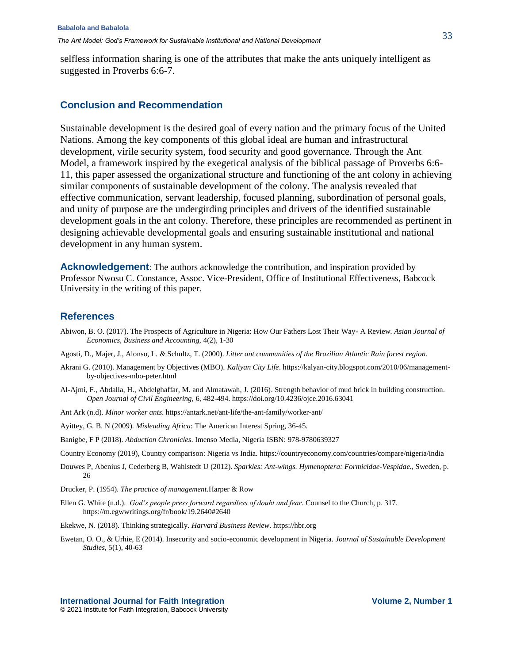selfless information sharing is one of the attributes that make the ants uniquely intelligent as suggested in Proverbs 6:6-7.

#### **Conclusion and Recommendation**

Sustainable development is the desired goal of every nation and the primary focus of the United Nations. Among the key components of this global ideal are human and infrastructural development, virile security system, food security and good governance. Through the Ant Model, a framework inspired by the exegetical analysis of the biblical passage of Proverbs 6:6- 11, this paper assessed the organizational structure and functioning of the ant colony in achieving similar components of sustainable development of the colony. The analysis revealed that effective communication, servant leadership, focused planning, subordination of personal goals, and unity of purpose are the undergirding principles and drivers of the identified sustainable development goals in the ant colony. Therefore, these principles are recommended as pertinent in designing achievable developmental goals and ensuring sustainable institutional and national development in any human system.

**Acknowledgement**: The authors acknowledge the contribution, and inspiration provided by Professor Nwosu C. Constance, Assoc. Vice-President, Office of Institutional Effectiveness, Babcock University in the writing of this paper.

#### **References**

- Abiwon, B. O. (2017). The Prospects of Agriculture in Nigeria: How Our Fathers Lost Their Way- A Review*. Asian Journal of Economics, Business and Accounting,* 4(2), 1-30
- Agosti, D., Majer, J., Alonso, L. *&* Schultz, T. (2000). *Litter ant communities of the Brazilian Atlantic Rain forest region*.
- Akrani G. (2010). Management by Objectives (MBO). *Kaliyan City Life*[. https://kalyan-city.blogspot.com/2010/06/management](https://kalyan-city.blogspot.com/2010/06/management-by-objectives-mbo-peter.html)[by-objectives-mbo-peter.html](https://kalyan-city.blogspot.com/2010/06/management-by-objectives-mbo-peter.html)
- Al-Ajmi, F., Abdalla, H., Abdelghaffar, M. and Almatawah, J. (2016). Strength behavior of mud brick in building construction. *Open Journal of Civil Engineering*, 6, 482-494. https://doi.org/10.4236/ojce.2016.63041
- Ant Ark (n.d). *Minor worker ants*[. https://antark.net/ant-life/the-ant-family/worker-ant/](https://antark.net/ant-life/the-ant-family/worker-ant/)
- Ayittey, G. B. N (2009). *Misleading Africa*: The American Interest Spring, 36-45.
- Banigbe, F P (2018). *Abduction Chronicles*. Imenso Media, Nigeria ISBN: 978-9780639327
- Country Economy (2019), Country comparison: Nigeria vs India.<https://countryeconomy.com/countries/compare/nigeria/india>
- Douwes P, Abenius J, Cederberg B, Wahlstedt U (2012). *Sparkles: Ant-wings. Hymenoptera: Formicidae-Vespidae.*, Sweden, p. 26
- Drucker, P. (1954). *The practice of management.*Harper & Row
- Ellen G. White (n.d.). *God's people press forward regardless of doubt and fear*. Counsel to the Church, p. 317. <https://m.egwwritings.org/fr/book/19.2640#2640>
- Ekekwe, N. (2018). Thinking strategically. *Harvard Business Review*[. https://hbr.org](https://hbr.org/)
- Ewetan, O. O., & Urhie, E (2014). Insecurity and socio-economic development in Nigeria. *Journal of Sustainable Development Studies*, 5(1), 40-63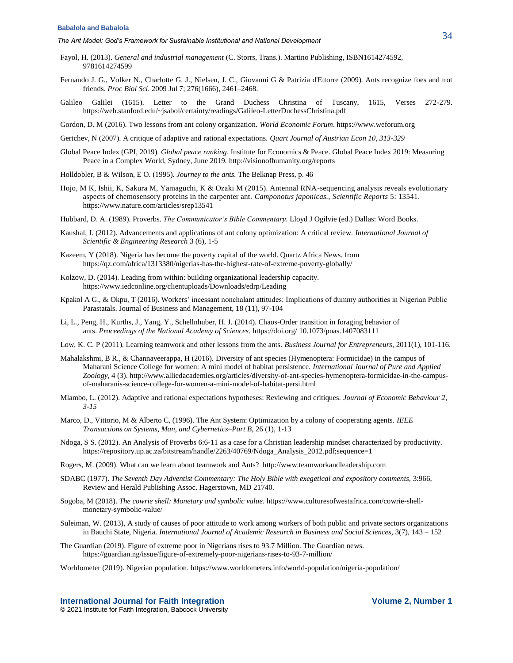- Fayol, H. (2013). *General and industrial management* (C. Storrs, Trans.). Martino Publishing, ISBN1614274592, 9781614274599
- Fernando J. G., Volker N., Charlotte G. J., Nielsen, J. C., Giovanni G & Patrizia d'Ettorre (2009). Ants recognize foes and not friends. *Proc Biol Sci*. 2009 Jul 7; 276(1666), 2461–2468.
- Galileo Galilei (1615). Letter to the Grand Duchess Christina of Tuscany, 1615, Verses 272-279. <https://web.stanford.edu/~jsabol/certainty/readings/Galileo-LetterDuchessChristina.pdf>
- Gordon, D. M (2016). Two lessons from ant colony organization. *World Economic Forum*. [https://www.weforum.org](https://www.weforum.org/)

Gertchev, N (2007). A critique of adaptive and rational expectations. *Quart Journal of Austrian Econ 10, 313-329*

- Global Peace Index (GPI, 2019). *Global peace ranking*. Institute for Economics & Peace. Global Peace Index 2019: Measuring Peace in a Complex World, Sydney, June 2019.<http://visionofhumanity.org/reports>
- Holldobler, B & Wilson, E O. (1995). *[Journey to the ants.](https://www.adlibris.com/se/bok/journey-to-the-ants-9780674485266)* The Belknap Press, p. 46
- Hojo, M K, Ishii, K, Sakura M, Yamaguchi, K & Ozaki M (2015). Antennal RNA-sequencing analysis reveals evolutionary aspects of chemosensory proteins in the carpenter ant. *Camponotus japonicas., Scientific Reports* 5: 13541. <https://www.nature.com/articles/srep13541>
- Hubbard, D. A. (1989). Proverbs. *The Communicator's Bible Commentary*. Lloyd J Ogilvie (ed.) Dallas: Word Books.
- Kaushal, J. (2012). Advancements and applications of ant colony optimization: A critical review. *International Journal of Scientific & Engineering Research* 3 (6), 1-5
- Kazeem, Y (2018). Nigeria has become the poverty capital of the world. Quartz Africa News. from <https://qz.com/africa/1313380/nigerias-has-the-highest-rate-of-extreme-poverty-globally/>
- Kolzow, D. (2014). Leading from within: building organizational leadership capacity. <https://www.iedconline.org/clientuploads/Downloads/edrp/Leading>
- Kpakol A G., & Okpu, T (2016). Workers' incessant nonchalant attitudes: Implications of dummy authorities in Nigerian Public Parastatals. Journal of Business and Management, 18 (11), 97-104
- Li, L., Peng, H., Kurths, J., Yang, Y., Schellnhuber, H. J. (2014). Chaos-Order transition in foraging behavior of ants. *Proceedings of the National Academy of Sciences*. https://doi.org/ [10.1073/pnas.1407083111](http://dx.doi.org/10.1073/pnas.1407083111)
- Low, K. C. P (2011). Learning teamwork and other lessons from the ants. *Business Journal for Entrepreneurs*, 2011(1), 101-116.
- Mahalakshmi, B R., & Channaveerappa, H (2016). Diversity of ant species (Hymenoptera: Formicidae) in the campus of Maharani Science College for women: A mini model of habitat persistence. *International Journal of Pure and Applied Zoology,* 4 (3)[. http://www.alliedacademies.org/articles/diversity-of-ant-species-hymenoptera-formicidae-in-the-campus](http://www.alliedacademies.org/articles/diversity-of-ant-species-hymenoptera-formicidae-in-the-campus-of-maharanis-science-college-for-women-a-mini-model-of-habitat-persi.html)[of-maharanis-science-college-for-women-a-mini-model-of-habitat-persi.html](http://www.alliedacademies.org/articles/diversity-of-ant-species-hymenoptera-formicidae-in-the-campus-of-maharanis-science-college-for-women-a-mini-model-of-habitat-persi.html)
- Mlambo, L. (2012). Adaptive and rational expectations hypotheses: Reviewing and critiques. *Journal of Economic Behaviour 2, 3-15*
- Marco, D., Vittorio, M & Alberto C, (1996). The Ant System: Optimization by a colony of cooperating agents. *IEEE Transactions on Systems, Man, and Cybernetics–Part B,* 26 (1), 1-13
- Ndoga, S S. (2012). An Analysis of Proverbs 6:6-11 as a case for a Christian leadership mindset characterized by productivity. [https://repository.up.ac.za/bitstream/handle/2263/40769/Ndoga\\_Analysis\\_2012.pdf;sequence=1](https://repository.up.ac.za/bitstream/handle/2263/40769/Ndoga_Analysis_2012.pdf;sequence=1)
- Rogers, M. (2009). What can we learn about teamwork and Ants? [http://www.teamworkandleadership.com](http://www.teamworkandleadership.com/)
- SDABC (1977). *The Seventh Day Adventist Commentary: The Holy Bible with exegetical and expository comments,* 3:966, Review and Herald Publishing Assoc. Hagerstown, MD 21740.
- Sogoba, M (2018). *The cowrie shell: Monetary and symbolic value*. [https://www.culturesofwestafrica.com/cowrie-shell](https://www.culturesofwestafrica.com/cowrie-shell-monetary-symbolic-value/)[monetary-symbolic-value/](https://www.culturesofwestafrica.com/cowrie-shell-monetary-symbolic-value/)
- Suleiman, W. (2013), A study of causes of poor attitude to work among workers of both public and private sectors organizations in Bauchi State, Nigeria. *International Journal of Academic Research in Business and Social Sciences*, 3(7), 143 – 152
- The Guardian (2019). Figure of extreme poor in Nigerians rises to 93.7 Million. The Guardian news. <https://guardian.ng/issue/figure-of-extremely-poor-nigerians-rises-to-93-7-million/>
- Worldometer (2019). Nigerian population[. https://www.worldometers.info/world-population/nigeria-population/](https://www.worldometers.info/world-population/nigeria-population/)